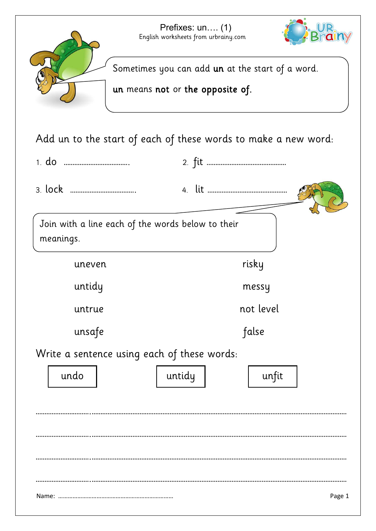

Add un to the start of each of these words to make a new word:

| Join with a line each of the words below to their<br>meanings. |        |           |
|----------------------------------------------------------------|--------|-----------|
| uneven                                                         |        | risky     |
| untidy                                                         |        | messy     |
| untrue                                                         |        | not level |
| unsafe                                                         |        | false     |
| Write a sentence using each of these words:                    |        |           |
| undo                                                           | untidy | unfit     |
|                                                                |        |           |
|                                                                |        |           |
|                                                                |        |           |
|                                                                |        |           |
|                                                                |        |           |
| Page 1                                                         |        |           |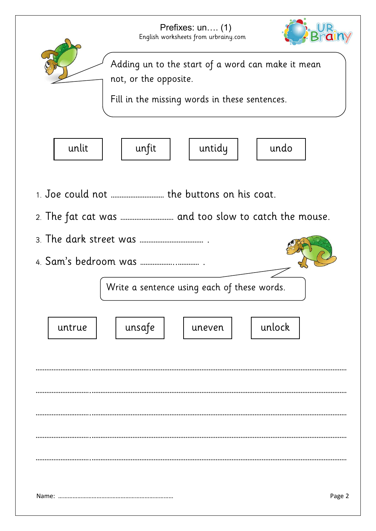